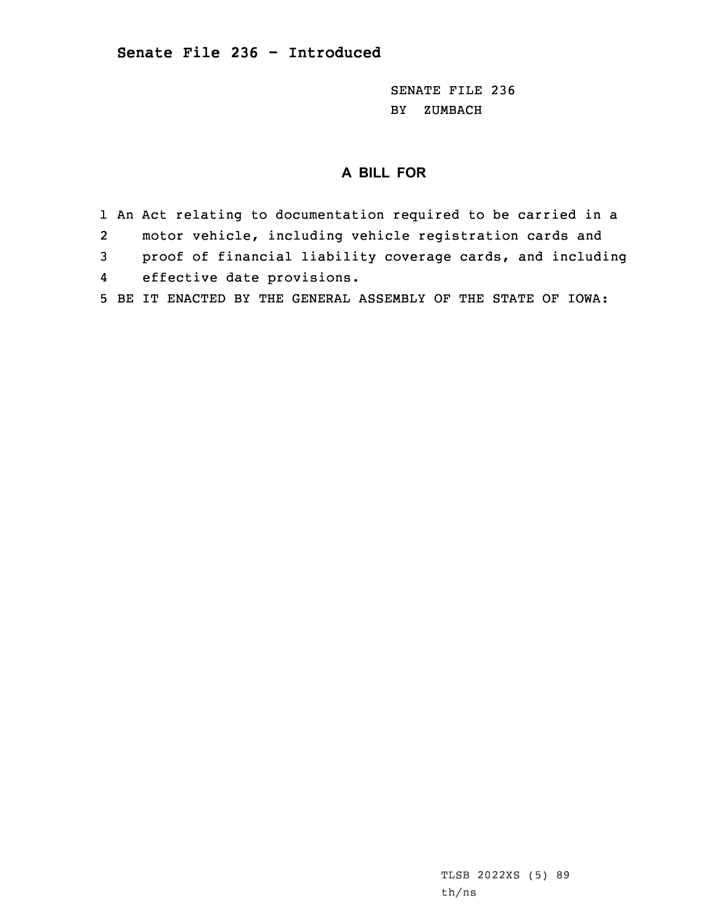SENATE FILE 236 BY ZUMBACH

## **A BILL FOR**

1 An Act relating to documentation required to be carried in <sup>a</sup> 2 motor vehicle, including vehicle registration cards and 3 proof of financial liability coverage cards, and including 4 effective date provisions. 5 BE IT ENACTED BY THE GENERAL ASSEMBLY OF THE STATE OF IOWA: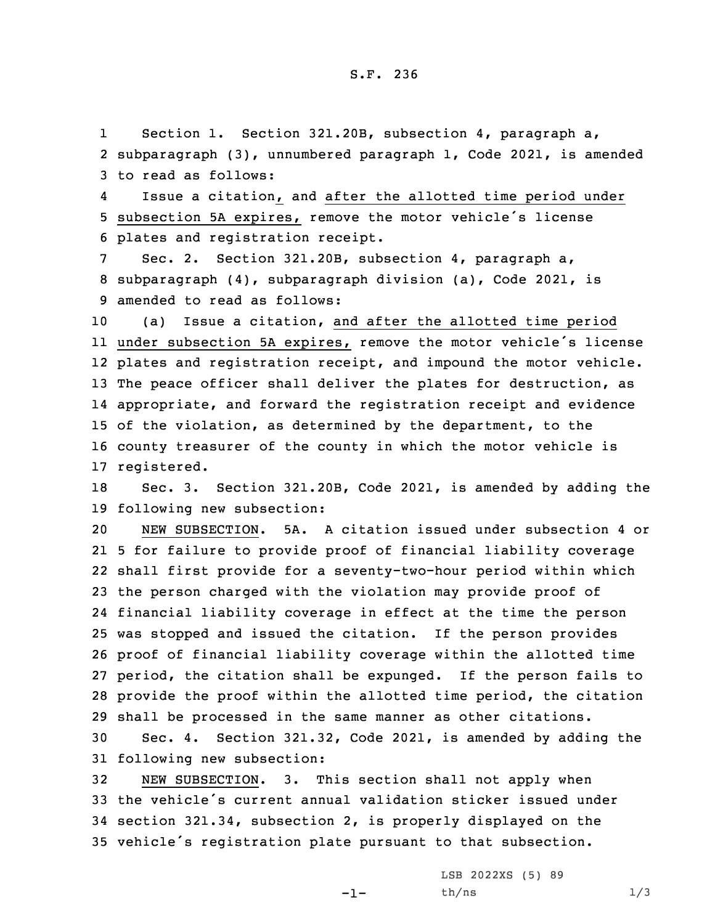1 Section 1. Section 321.20B, subsection 4, paragraph a, 2 subparagraph (3), unnumbered paragraph 1, Code 2021, is amended 3 to read as follows:

4 Issue <sup>a</sup> citation, and after the allotted time period under <sup>5</sup> subsection 5A expires, remove the motor vehicle's license 6 plates and registration receipt.

7 Sec. 2. Section 321.20B, subsection 4, paragraph a, 8 subparagraph (4), subparagraph division (a), Code 2021, is 9 amended to read as follows:

 (a) Issue <sup>a</sup> citation, and after the allotted time period under subsection 5A expires, remove the motor vehicle's license plates and registration receipt, and impound the motor vehicle. The peace officer shall deliver the plates for destruction, as appropriate, and forward the registration receipt and evidence of the violation, as determined by the department, to the county treasurer of the county in which the motor vehicle is registered.

18 Sec. 3. Section 321.20B, Code 2021, is amended by adding the 19 following new subsection:

 NEW SUBSECTION. 5A. A citation issued under subsection 4 or 5 for failure to provide proof of financial liability coverage shall first provide for <sup>a</sup> seventy-two-hour period within which the person charged with the violation may provide proof of financial liability coverage in effect at the time the person was stopped and issued the citation. If the person provides proof of financial liability coverage within the allotted time period, the citation shall be expunged. If the person fails to provide the proof within the allotted time period, the citation shall be processed in the same manner as other citations.

30 Sec. 4. Section 321.32, Code 2021, is amended by adding the 31 following new subsection:

 NEW SUBSECTION. 3. This section shall not apply when the vehicle's current annual validation sticker issued under section 321.34, subsection 2, is properly displayed on the vehicle's registration plate pursuant to that subsection.

-1-

LSB 2022XS (5) 89  $th/ns$   $1/3$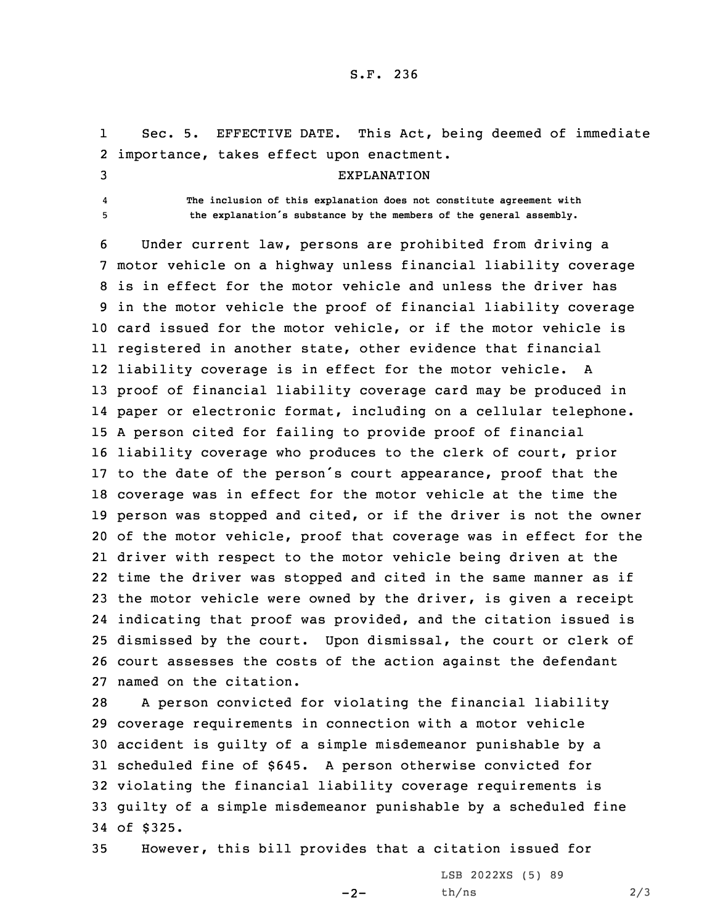## S.F. 236

1 Sec. 5. EFFECTIVE DATE. This Act, being deemed of immediate 2 importance, takes effect upon enactment.

## 3 EXPLANATION

 **The inclusion of this explanation does not constitute agreement with** <sup>5</sup> **the explanation's substance by the members of the general assembly.**

4

 Under current law, persons are prohibited from driving <sup>a</sup> motor vehicle on <sup>a</sup> highway unless financial liability coverage is in effect for the motor vehicle and unless the driver has in the motor vehicle the proof of financial liability coverage card issued for the motor vehicle, or if the motor vehicle is registered in another state, other evidence that financial liability coverage is in effect for the motor vehicle. <sup>A</sup> proof of financial liability coverage card may be produced in paper or electronic format, including on <sup>a</sup> cellular telephone. <sup>A</sup> person cited for failing to provide proof of financial liability coverage who produces to the clerk of court, prior to the date of the person's court appearance, proof that the coverage was in effect for the motor vehicle at the time the person was stopped and cited, or if the driver is not the owner of the motor vehicle, proof that coverage was in effect for the driver with respect to the motor vehicle being driven at the time the driver was stopped and cited in the same manner as if the motor vehicle were owned by the driver, is given <sup>a</sup> receipt indicating that proof was provided, and the citation issued is dismissed by the court. Upon dismissal, the court or clerk of court assesses the costs of the action against the defendant named on the citation.

 <sup>A</sup> person convicted for violating the financial liability coverage requirements in connection with <sup>a</sup> motor vehicle accident is guilty of <sup>a</sup> simple misdemeanor punishable by <sup>a</sup> scheduled fine of \$645. <sup>A</sup> person otherwise convicted for violating the financial liability coverage requirements is guilty of <sup>a</sup> simple misdemeanor punishable by <sup>a</sup> scheduled fine 34 of \$325.

35 However, this bill provides that <sup>a</sup> citation issued for

 $-2-$ 

LSB 2022XS (5) 89  $th/ns$  2/3